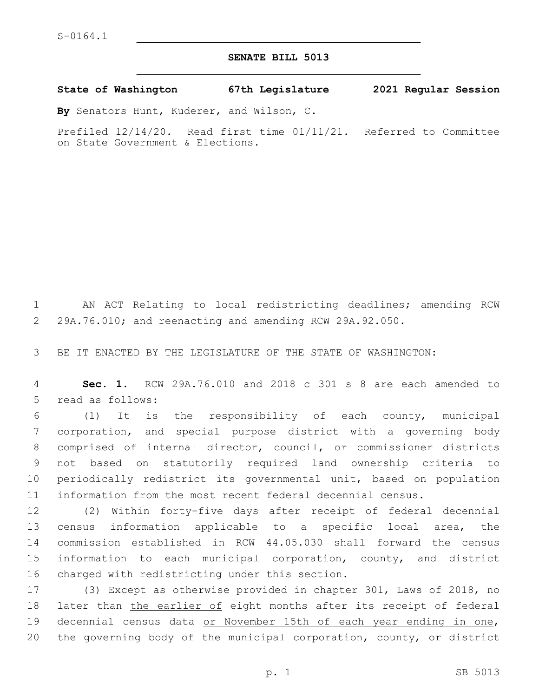## **SENATE BILL 5013**

**State of Washington 67th Legislature 2021 Regular Session**

**By** Senators Hunt, Kuderer, and Wilson, C.

Prefiled 12/14/20. Read first time 01/11/21. Referred to Committee on State Government & Elections.

1 AN ACT Relating to local redistricting deadlines; amending RCW 2 29A.76.010; and reenacting and amending RCW 29A.92.050.

3 BE IT ENACTED BY THE LEGISLATURE OF THE STATE OF WASHINGTON:

4 **Sec. 1.** RCW 29A.76.010 and 2018 c 301 s 8 are each amended to 5 read as follows:

 (1) It is the responsibility of each county, municipal corporation, and special purpose district with a governing body comprised of internal director, council, or commissioner districts not based on statutorily required land ownership criteria to periodically redistrict its governmental unit, based on population information from the most recent federal decennial census.

 (2) Within forty-five days after receipt of federal decennial census information applicable to a specific local area, the commission established in RCW 44.05.030 shall forward the census information to each municipal corporation, county, and district 16 charged with redistricting under this section.

17 (3) Except as otherwise provided in chapter 301, Laws of 2018, no 18 later than the earlier of eight months after its receipt of federal 19 decennial census data or November 15th of each year ending in one, 20 the governing body of the municipal corporation, county, or district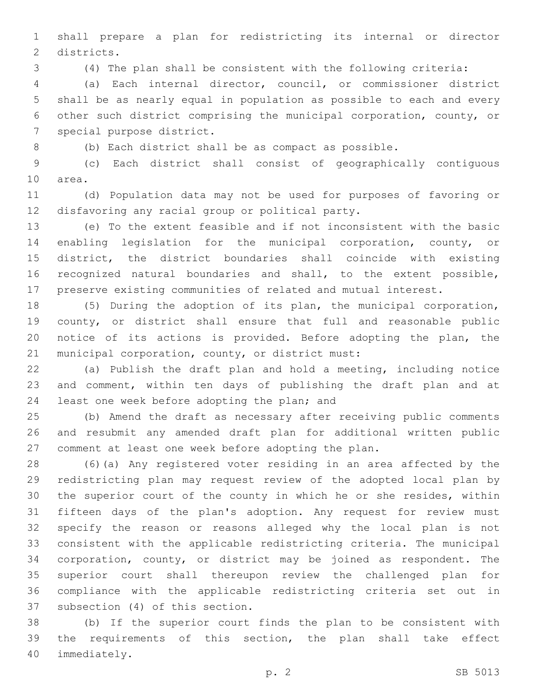shall prepare a plan for redistricting its internal or director 2 districts.

(4) The plan shall be consistent with the following criteria:

 (a) Each internal director, council, or commissioner district shall be as nearly equal in population as possible to each and every other such district comprising the municipal corporation, county, or 7 special purpose district.

(b) Each district shall be as compact as possible.

 (c) Each district shall consist of geographically contiguous 10 area.

 (d) Population data may not be used for purposes of favoring or 12 disfavoring any racial group or political party.

 (e) To the extent feasible and if not inconsistent with the basic enabling legislation for the municipal corporation, county, or district, the district boundaries shall coincide with existing recognized natural boundaries and shall, to the extent possible, preserve existing communities of related and mutual interest.

 (5) During the adoption of its plan, the municipal corporation, 19 county, or district shall ensure that full and reasonable public notice of its actions is provided. Before adopting the plan, the 21 municipal corporation, county, or district must:

 (a) Publish the draft plan and hold a meeting, including notice and comment, within ten days of publishing the draft plan and at 24 least one week before adopting the plan; and

 (b) Amend the draft as necessary after receiving public comments and resubmit any amended draft plan for additional written public comment at least one week before adopting the plan.

 (6)(a) Any registered voter residing in an area affected by the redistricting plan may request review of the adopted local plan by the superior court of the county in which he or she resides, within fifteen days of the plan's adoption. Any request for review must specify the reason or reasons alleged why the local plan is not consistent with the applicable redistricting criteria. The municipal corporation, county, or district may be joined as respondent. The superior court shall thereupon review the challenged plan for compliance with the applicable redistricting criteria set out in 37 subsection (4) of this section.

 (b) If the superior court finds the plan to be consistent with the requirements of this section, the plan shall take effect 40 immediately.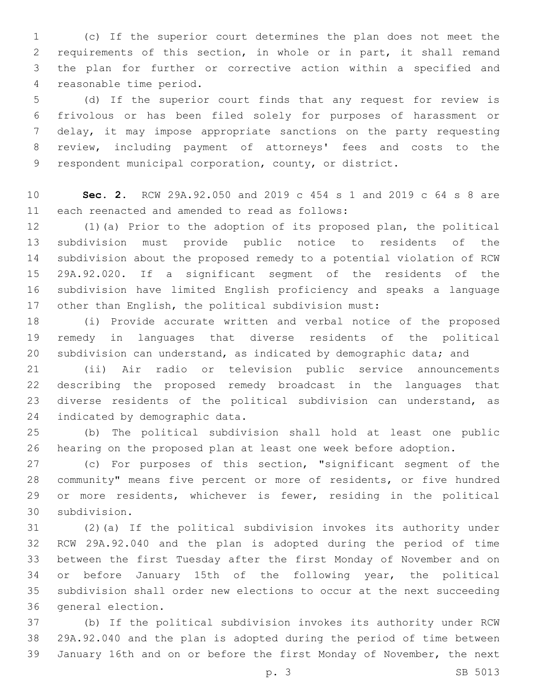(c) If the superior court determines the plan does not meet the requirements of this section, in whole or in part, it shall remand the plan for further or corrective action within a specified and 4 reasonable time period.

 (d) If the superior court finds that any request for review is frivolous or has been filed solely for purposes of harassment or delay, it may impose appropriate sanctions on the party requesting review, including payment of attorneys' fees and costs to the respondent municipal corporation, county, or district.

 **Sec. 2.** RCW 29A.92.050 and 2019 c 454 s 1 and 2019 c 64 s 8 are 11 each reenacted and amended to read as follows:

 (1)(a) Prior to the adoption of its proposed plan, the political subdivision must provide public notice to residents of the subdivision about the proposed remedy to a potential violation of RCW 29A.92.020. If a significant segment of the residents of the subdivision have limited English proficiency and speaks a language other than English, the political subdivision must:

 (i) Provide accurate written and verbal notice of the proposed remedy in languages that diverse residents of the political 20 subdivision can understand, as indicated by demographic data; and

 (ii) Air radio or television public service announcements describing the proposed remedy broadcast in the languages that diverse residents of the political subdivision can understand, as 24 indicated by demographic data.

 (b) The political subdivision shall hold at least one public hearing on the proposed plan at least one week before adoption.

 (c) For purposes of this section, "significant segment of the community" means five percent or more of residents, or five hundred or more residents, whichever is fewer, residing in the political subdivision.30

 (2)(a) If the political subdivision invokes its authority under RCW 29A.92.040 and the plan is adopted during the period of time between the first Tuesday after the first Monday of November and on or before January 15th of the following year, the political subdivision shall order new elections to occur at the next succeeding 36 general election.

 (b) If the political subdivision invokes its authority under RCW 29A.92.040 and the plan is adopted during the period of time between January 16th and on or before the first Monday of November, the next